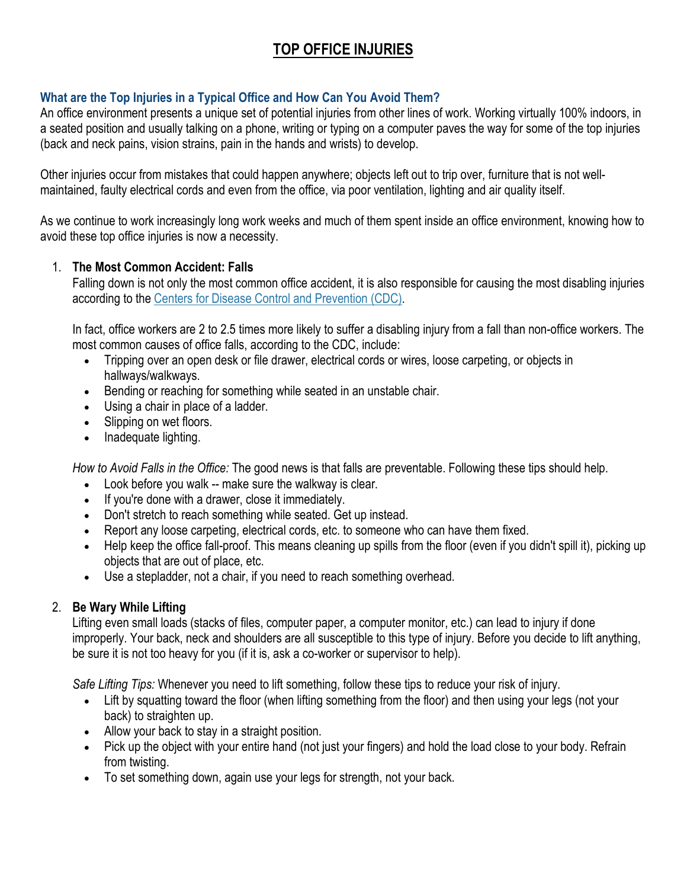# **TOP OFFICE INJURIES**

# **What are the Top Injuries in a Typical Office and How Can You Avoid Them?**

An office environment presents a unique set of potential injuries from other lines of work. Working virtually 100% indoors, in a seated position and usually talking on a phone, writing or typing on a computer paves the way for some of the top injuries (back and neck pains, vision strains, pain in the hands and wrists) to develop.

Other injuries occur from mistakes that could happen anywhere; objects left out to trip over, furniture that is not wellmaintained, faulty electrical cords and even from the office, via poor ventilation, lighting and air quality itself.

As we continue to work increasingly long work weeks and much of them spent inside an office environment, knowing how to avoid these top office injuries is now a necessity.

## 1. **The Most Common Accident: Falls**

Falling down is not only the most common office accident, it is also responsible for causing the most disabling injuries according to the [Centers for Disease Control and Prevention \(CDC\).](http://www.cdc.gov/niosh/topics/ergonomics/)

In fact, office workers are 2 to 2.5 times more likely to suffer a disabling injury from a fall than non-office workers. The most common causes of office falls, according to the CDC, include:

- Tripping over an open desk or file drawer, electrical cords or wires, loose carpeting, or objects in hallways/walkways.
- Bending or reaching for something while seated in an unstable chair.
- Using a chair in place of a ladder.
- Slipping on wet floors.
- Inadequate lighting.

*How to Avoid Falls in the Office:* The good news is that falls are preventable. Following these tips should help.

- Look before you walk -- make sure the walkway is clear.
- If you're done with a drawer, close it immediately.
- Don't stretch to reach something while seated. Get up instead.
- Report any loose carpeting, electrical cords, etc. to someone who can have them fixed.
- Help keep the office fall-proof. This means cleaning up spills from the floor (even if you didn't spill it), picking up objects that are out of place, etc.
- Use a stepladder, not a chair, if you need to reach something overhead.

# 2. **Be Wary While Lifting**

Lifting even small loads (stacks of files, computer paper, a computer monitor, etc.) can lead to injury if done improperly. Your back, neck and shoulders are all susceptible to this type of injury. Before you decide to lift anything, be sure it is not too heavy for you (if it is, ask a co-worker or supervisor to help).

*Safe Lifting Tips:* Whenever you need to lift something, follow these tips to reduce your risk of injury.

- Lift by squatting toward the floor (when lifting something from the floor) and then using your legs (not your back) to straighten up.
- Allow your back to stay in a straight position.
- Pick up the object with your entire hand (not just your fingers) and hold the load close to your body. Refrain from twisting.
- To set something down, again use your legs for strength, not your back.